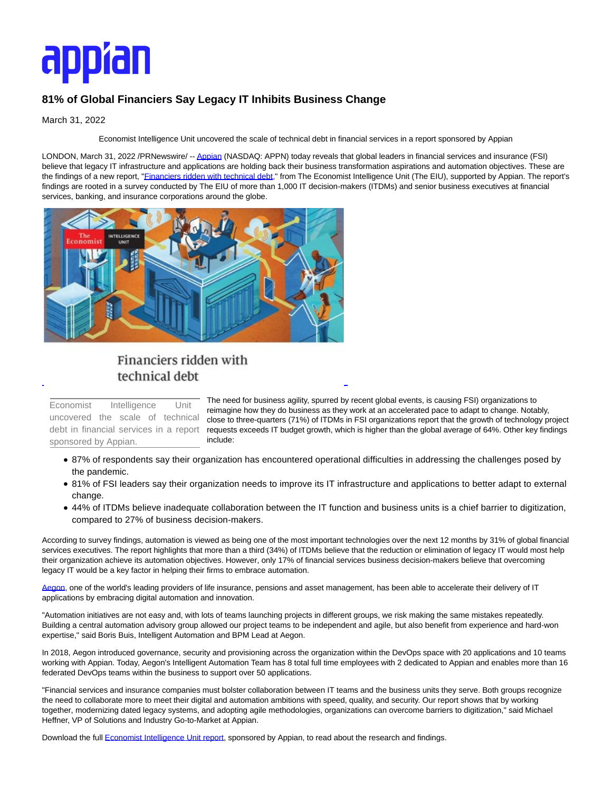# appîan

## **81% of Global Financiers Say Legacy IT Inhibits Business Change**

#### March 31, 2022

Economist Intelligence Unit uncovered the scale of technical debt in financial services in a report sponsored by Appian

LONDON, March 31, 2022 /PRNewswire/ -[- Appian \(](https://c212.net/c/link/?t=0&l=en&o=3488290-1&h=3121108785&u=https%3A%2F%2Fappian.com%2Fplatform%2Foverview.html%3Futm_source%3Dreferral%26utm_medium%3Dpress-release%26utm_campaign%3Dplatform%26utm_content%3Deconomist-survey&a=Appian)NASDAQ: APPN) today reveals that global leaders in financial services and insurance (FSI) believe that legacy IT infrastructure and applications are holding back their business transformation aspirations and automation objectives. These are the findings of a new report, "Einanciers ridden with technical debt," from The Economist Intelligence Unit (The EIU), supported by Appian. The report's findings are rooted in a survey conducted by The EIU of more than 1,000 IT decision-makers (ITDMs) and senior business executives at financial services, banking, and insurance corporations around the globe.



## Financiers ridden with technical debt

Economist Intelligence Unit uncovered the scale of technical debt in financial services in a report sponsored by Appian.

The need for business agility, spurred by recent global events, is causing FSI) organizations to reimagine how they do business as they work at an accelerated pace to adapt to change. Notably, close to three-quarters (71%) of ITDMs in FSI organizations report that the growth of technology project requests exceeds IT budget growth, which is higher than the global average of 64%. Other key findings include:

87% of respondents say their organization has encountered operational difficulties in addressing the challenges posed by the pandemic.

L

- 81% of FSI leaders say their organization needs to improve its IT infrastructure and applications to better adapt to external change.
- 44% of ITDMs believe inadequate collaboration between the IT function and business units is a chief barrier to digitization, compared to 27% of business decision-makers.

According to survey findings, automation is viewed as being one of the most important technologies over the next 12 months by 31% of global financial services executives. The report highlights that more than a third (34%) of ITDMs believe that the reduction or elimination of legacy IT would most help their organization achieve its automation objectives. However, only 17% of financial services business decision-makers believe that overcoming legacy IT would be a key factor in helping their firms to embrace automation.

[Aegon,](https://c212.net/c/link/?t=0&l=en&o=3488290-1&h=2992410583&u=https%3A%2F%2Fappian.com%2Fwhy-appian%2Fcustomers%2Fall-customers%2Faegon.html%3Futm_source%3Dreferral%26utm_medium%3Dpress-release%26utm_campaign%3Dplatform%26utm_content%3Deconomist-survey&a=Aegon) one of the world's leading providers of life insurance, pensions and asset management, has been able to accelerate their delivery of IT applications by embracing digital automation and innovation.

"Automation initiatives are not easy and, with lots of teams launching projects in different groups, we risk making the same mistakes repeatedly. Building a central automation advisory group allowed our project teams to be independent and agile, but also benefit from experience and hard-won expertise," said Boris Buis, Intelligent Automation and BPM Lead at Aegon.

In 2018, Aegon introduced governance, security and provisioning across the organization within the DevOps space with 20 applications and 10 teams working with Appian. Today, Aegon's Intelligent Automation Team has 8 total full time employees with 2 dedicated to Appian and enables more than 16 federated DevOps teams within the business to support over 50 applications.

"Financial services and insurance companies must bolster collaboration between IT teams and the business units they serve. Both groups recognize the need to collaborate more to meet their digital and automation ambitions with speed, quality, and security. Our report shows that by working together, modernizing dated legacy systems, and adopting agile methodologies, organizations can overcome barriers to digitization," said Michael Heffner, VP of Solutions and Industry Go-to-Market at Appian.

Download the full **Economist Intelligence Unit report**, sponsored by Appian, to read about the research and findings.